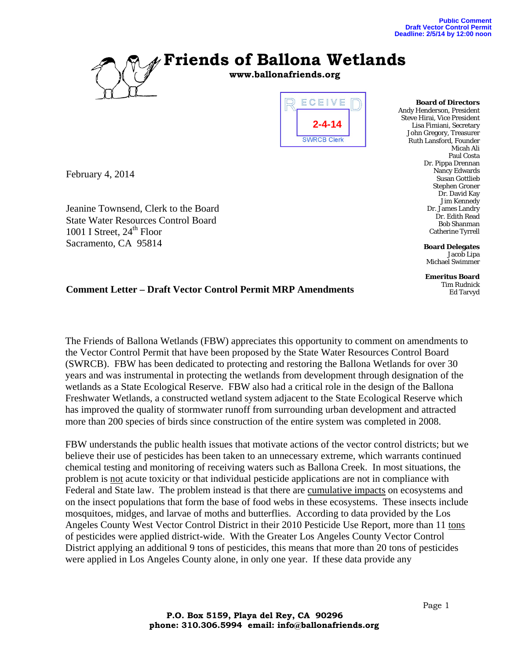

**www.ballonafriends.org**



**Board of Directors**  Andy Henderson, President Steve Hirai, Vice President Lisa Fimiani, Secretary John Gregory, Treasurer Ruth Lansford, Founder Micah Ali Paul Costa Dr. Pippa Drennan Nancy Edwards Susan Gottlieb Stephen Groner Dr. David Kay Jim Kennedy Dr. James Landry Dr. Edith Read Bob Shanman Catherine Tyrrell

> **Board Delegates**  Jacob Lipa Michael Swimmer

**Emeritus Board**  Tim Rudnick Ed Tarvyd

**Comment Letter – Draft Vector Control Permit MRP Amendments** 

February 4, 2014

1001 I Street,  $24<sup>th</sup>$  Floor Sacramento, CA 95814

Jeanine Townsend, Clerk to the Board State Water Resources Control Board

The Friends of Ballona Wetlands (FBW) appreciates this opportunity to comment on amendments to the Vector Control Permit that have been proposed by the State Water Resources Control Board (SWRCB). FBW has been dedicated to protecting and restoring the Ballona Wetlands for over 30 years and was instrumental in protecting the wetlands from development through designation of the wetlands as a State Ecological Reserve. FBW also had a critical role in the design of the Ballona Freshwater Wetlands, a constructed wetland system adjacent to the State Ecological Reserve which has improved the quality of stormwater runoff from surrounding urban development and attracted more than 200 species of birds since construction of the entire system was completed in 2008.

FBW understands the public health issues that motivate actions of the vector control districts; but we believe their use of pesticides has been taken to an unnecessary extreme, which warrants continued chemical testing and monitoring of receiving waters such as Ballona Creek. In most situations, the problem is not acute toxicity or that individual pesticide applications are not in compliance with Federal and State law. The problem instead is that there are cumulative impacts on ecosystems and on the insect populations that form the base of food webs in these ecosystems. These insects include mosquitoes, midges, and larvae of moths and butterflies. According to data provided by the Los Angeles County West Vector Control District in their 2010 Pesticide Use Report, more than 11 tons of pesticides were applied district-wide. With the Greater Los Angeles County Vector Control District applying an additional 9 tons of pesticides, this means that more than 20 tons of pesticides were applied in Los Angeles County alone, in only one year. If these data provide any